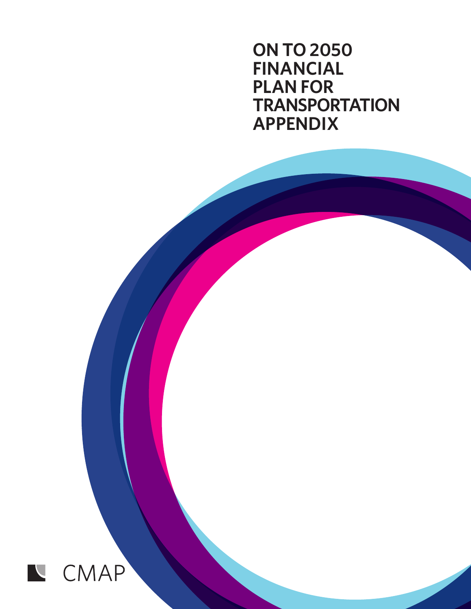**ON TO 2050 FINANCIAL PLAN FOR TRANSPORTATION APPENDIX**

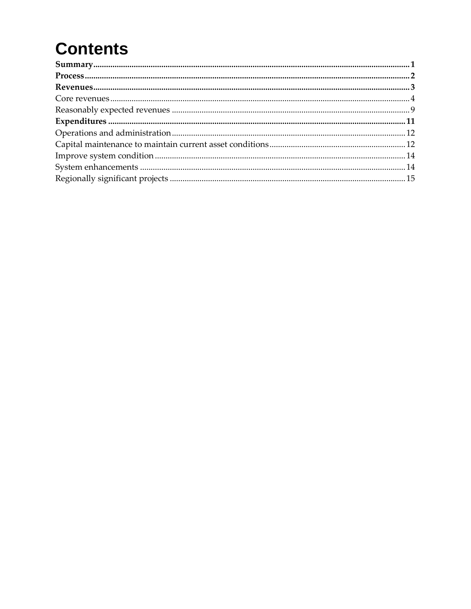# **Contents**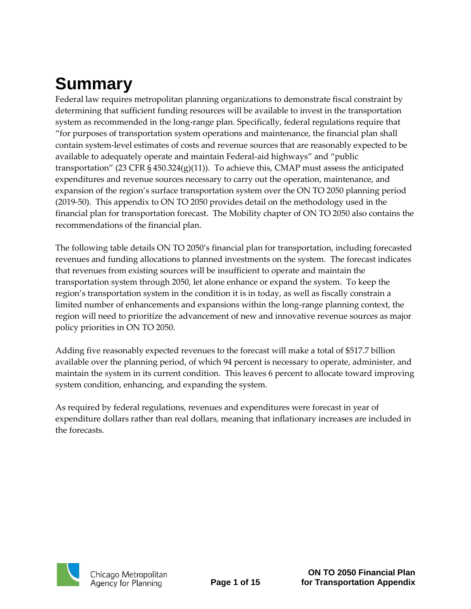## <span id="page-2-0"></span>**Summary**

Federal law requires metropolitan planning organizations to demonstrate fiscal constraint by determining that sufficient funding resources will be available to invest in the transportation system as recommended in the long-range plan. Specifically, federal regulations require that "for purposes of transportation system operations and maintenance, the financial plan shall contain system-level estimates of costs and revenue sources that are reasonably expected to be available to adequately operate and maintain Federal-aid highways" and "public transportation" (23 CFR § 450.324(g)(11)). To achieve this, CMAP must assess the anticipated expenditures and revenue sources necessary to carry out the operation, maintenance, and expansion of the region's surface transportation system over the ON TO 2050 planning period (2019-50). This appendix to ON TO 2050 provides detail on the methodology used in the financial plan for transportation forecast. The Mobility chapter of ON TO 2050 also contains the recommendations of the financial plan.

The following table details ON TO 2050's financial plan for transportation, including forecasted revenues and funding allocations to planned investments on the system. The forecast indicates that revenues from existing sources will be insufficient to operate and maintain the transportation system through 2050, let alone enhance or expand the system. To keep the region's transportation system in the condition it is in today, as well as fiscally constrain a limited number of enhancements and expansions within the long-range planning context, the region will need to prioritize the advancement of new and innovative revenue sources as major policy priorities in ON TO 2050.

Adding five reasonably expected revenues to the forecast will make a total of \$517.7 billion available over the planning period, of which 94 percent is necessary to operate, administer, and maintain the system in its current condition. This leaves 6 percent to allocate toward improving system condition, enhancing, and expanding the system.

As required by federal regulations, revenues and expenditures were forecast in year of expenditure dollars rather than real dollars, meaning that inflationary increases are included in the forecasts.

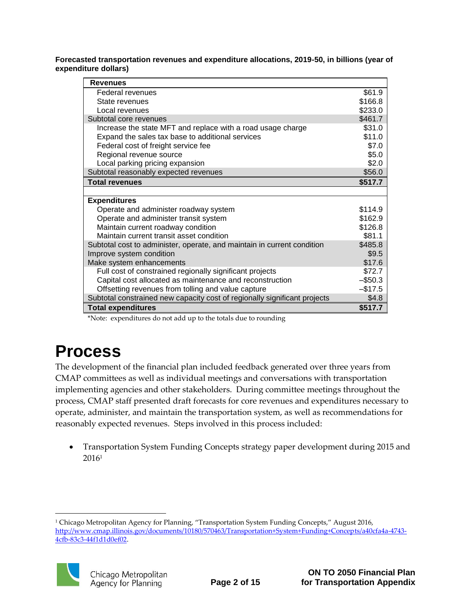**Forecasted transportation revenues and expenditure allocations, 2019-50, in billions (year of expenditure dollars)**

| <b>Revenues</b>                                                           |            |
|---------------------------------------------------------------------------|------------|
| Federal revenues                                                          | \$61.9     |
| State revenues                                                            | \$166.8    |
| Local revenues                                                            | \$233.0    |
| Subtotal core revenues                                                    | \$461.7    |
| Increase the state MFT and replace with a road usage charge               | \$31.0     |
| Expand the sales tax base to additional services                          | \$11.0     |
| Federal cost of freight service fee                                       | \$7.0      |
| Regional revenue source                                                   | \$5.0      |
| Local parking pricing expansion                                           | \$2.0      |
| Subtotal reasonably expected revenues                                     | \$56.0     |
| <b>Total revenues</b>                                                     | \$517.7    |
|                                                                           |            |
| <b>Expenditures</b>                                                       |            |
| Operate and administer roadway system                                     | \$114.9    |
| Operate and administer transit system                                     | \$162.9    |
| Maintain current roadway condition                                        | \$126.8    |
| Maintain current transit asset condition                                  | \$81.1     |
| Subtotal cost to administer, operate, and maintain in current condition   | \$485.8    |
| Improve system condition                                                  | \$9.5      |
| Make system enhancements                                                  | \$17.6     |
| Full cost of constrained regionally significant projects                  | \$72.7     |
| Capital cost allocated as maintenance and reconstruction                  | $-$ \$50.3 |
| Offsetting revenues from tolling and value capture                        | $-$17.5$   |
| Subtotal constrained new capacity cost of regionally significant projects | \$4.8      |
| <b>Total expenditures</b>                                                 | \$517.7    |

\*Note: expenditures do not add up to the totals due to rounding

## <span id="page-3-0"></span>**Process**

The development of the financial plan included feedback generated over three years from CMAP committees as well as individual meetings and conversations with transportation implementing agencies and other stakeholders. During committee meetings throughout the process, CMAP staff presented draft forecasts for core revenues and expenditures necessary to operate, administer, and maintain the transportation system, as well as recommendations for reasonably expected revenues. Steps involved in this process included:

 Transportation System Funding Concepts strategy paper development during 2015 and 2016<sup>1</sup>

 $\overline{a}$ <sup>1</sup> Chicago Metropolitan Agency for Planning, "Transportation System Funding Concepts," August 2016, [http://www.cmap.illinois.gov/documents/10180/570463/Transportation+System+Funding+Concepts/a40cfa4a-4743-](http://www.cmap.illinois.gov/documents/10180/570463/Transportation+System+Funding+Concepts/a40cfa4a-4743-4cfb-83c3-44f1d1d0ef02) [4cfb-83c3-44f1d1d0ef02.](http://www.cmap.illinois.gov/documents/10180/570463/Transportation+System+Funding+Concepts/a40cfa4a-4743-4cfb-83c3-44f1d1d0ef02)

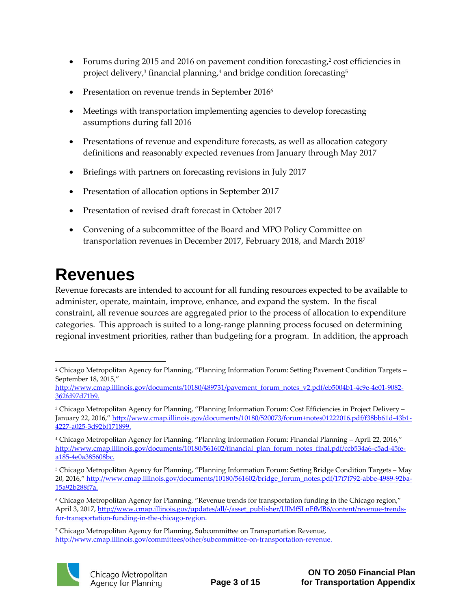- Forums during 2015 and 2016 on pavement condition forecasting,<sup>2</sup> cost efficiencies in project delivery, $^3$  financial planning, $^4$  and bridge condition forecasting $^5$
- Presentation on revenue trends in September 2016<sup>6</sup>
- Meetings with transportation implementing agencies to develop forecasting assumptions during fall 2016
- Presentations of revenue and expenditure forecasts, as well as allocation category definitions and reasonably expected revenues from January through May 2017
- Briefings with partners on forecasting revisions in July 2017
- Presentation of allocation options in September 2017
- Presentation of revised draft forecast in October 2017
- Convening of a subcommittee of the Board and MPO Policy Committee on transportation revenues in December 2017, February 2018, and March 2018<sup>7</sup>

## <span id="page-4-0"></span>**Revenues**

Revenue forecasts are intended to account for all funding resources expected to be available to administer, operate, maintain, improve, enhance, and expand the system. In the fiscal constraint, all revenue sources are aggregated prior to the process of allocation to expenditure categories. This approach is suited to a long-range planning process focused on determining regional investment priorities, rather than budgeting for a program. In addition, the approach

<sup>7</sup> Chicago Metropolitan Agency for Planning, Subcommittee on Transportation Revenue, [http://www.cmap.illinois.gov/committees/other/subcommittee-on-transportation-revenue.](http://www.cmap.illinois.gov/committees/other/subcommittee-on-transportation-revenue) 



<sup>1</sup> <sup>2</sup> Chicago Metropolitan Agency for Planning, "Planning Information Forum: Setting Pavement Condition Targets – September 18, 2015,"

[http://www.cmap.illinois.gov/documents/10180/489731/pavement\\_forum\\_notes\\_v2.pdf/eb5004b1-4c9e-4e01-9082-](http://www.cmap.illinois.gov/documents/10180/489731/pavement_forum_notes_v2.pdf/eb5004b1-4c9e-4e01-9082-362fd97d71b9) [362fd97d71b9.](http://www.cmap.illinois.gov/documents/10180/489731/pavement_forum_notes_v2.pdf/eb5004b1-4c9e-4e01-9082-362fd97d71b9)

<sup>3</sup> Chicago Metropolitan Agency for Planning, "Planning Information Forum: Cost Efficiencies in Project Delivery – January 22, 2016," [http://www.cmap.illinois.gov/documents/10180/520073/forum+notes01222016.pdf/f38bb61d-43b1-](http://www.cmap.illinois.gov/documents/10180/520073/forum+notes01222016.pdf/f38bb61d-43b1-4227-a025-3d92bf171899) [4227-a025-3d92bf171899.](http://www.cmap.illinois.gov/documents/10180/520073/forum+notes01222016.pdf/f38bb61d-43b1-4227-a025-3d92bf171899)

<sup>4</sup> Chicago Metropolitan Agency for Planning, "Planning Information Forum: Financial Planning – April 22, 2016," [http://www.cmap.illinois.gov/documents/10180/561602/financial\\_plan\\_forum\\_notes\\_final.pdf/ccb534a6-c5ad-45fe](http://www.cmap.illinois.gov/documents/10180/561602/financial_plan_forum_notes_final.pdf/ccb534a6-c5ad-45fe-a185-4e0a385608bc)[a185-4e0a385608bc.](http://www.cmap.illinois.gov/documents/10180/561602/financial_plan_forum_notes_final.pdf/ccb534a6-c5ad-45fe-a185-4e0a385608bc)

<sup>5</sup> Chicago Metropolitan Agency for Planning, "Planning Information Forum: Setting Bridge Condition Targets – May 20, 2016," [http://www.cmap.illinois.gov/documents/10180/561602/bridge\\_forum\\_notes.pdf/17f7f792-abbe-4989-92ba-](http://www.cmap.illinois.gov/documents/10180/561602/bridge_forum_notes.pdf/17f7f792-abbe-4989-92ba-15a92b288f7a)[15a92b288f7a.](http://www.cmap.illinois.gov/documents/10180/561602/bridge_forum_notes.pdf/17f7f792-abbe-4989-92ba-15a92b288f7a)

<sup>6</sup> Chicago Metropolitan Agency for Planning, "Revenue trends for transportation funding in the Chicago region," April 3, 2017, [http://www.cmap.illinois.gov/updates/all/-/asset\\_publisher/UIMfSLnFfMB6/content/revenue-trends](http://www.cmap.illinois.gov/updates/all/-/asset_publisher/UIMfSLnFfMB6/content/revenue-trends-for-transportation-funding-in-the-chicago-region)[for-transportation-funding-in-the-chicago-region.](http://www.cmap.illinois.gov/updates/all/-/asset_publisher/UIMfSLnFfMB6/content/revenue-trends-for-transportation-funding-in-the-chicago-region)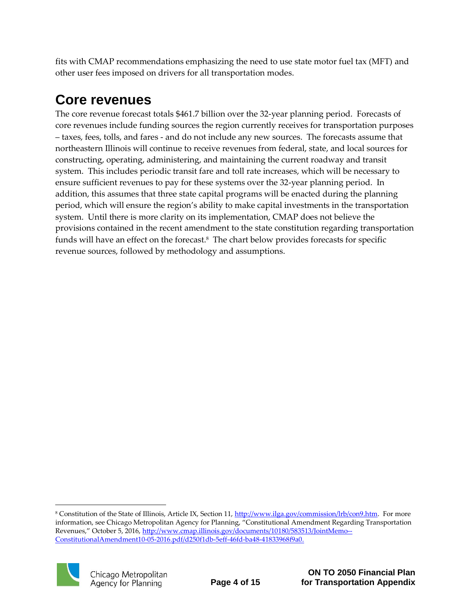fits with CMAP recommendations emphasizing the need to use state motor fuel tax (MFT) and other user fees imposed on drivers for all transportation modes.

### <span id="page-5-0"></span>**Core revenues**

The core revenue forecast totals \$461.7 billion over the 32-year planning period. Forecasts of core revenues include funding sources the region currently receives for transportation purposes – taxes, fees, tolls, and fares - and do not include any new sources. The forecasts assume that northeastern Illinois will continue to receive revenues from federal, state, and local sources for constructing, operating, administering, and maintaining the current roadway and transit system. This includes periodic transit fare and toll rate increases, which will be necessary to ensure sufficient revenues to pay for these systems over the 32-year planning period. In addition, this assumes that three state capital programs will be enacted during the planning period, which will ensure the region's ability to make capital investments in the transportation system. Until there is more clarity on its implementation, CMAP does not believe the provisions contained in the recent amendment to the state constitution regarding transportation funds will have an effect on the forecast.<sup>8</sup> The chart below provides forecasts for specific revenue sources, followed by methodology and assumptions.

<sup>&</sup>lt;sup>8</sup> Constitution of the State of Illinois, Article IX, Section 11, [http://www.ilga.gov/commission/lrb/con9.htm.](http://www.ilga.gov/commission/lrb/con9.htm) For more information, see Chicago Metropolitan Agency for Planning, "Constitutional Amendment Regarding Transportation Revenues," October 5, 2016, [http://www.cmap.illinois.gov/documents/10180/583513/JointMemo--](http://www.cmap.illinois.gov/documents/10180/583513/JointMemo--ConstitutionalAmendment10-05-2016.pdf/d250f1db-5eff-46fd-ba48-41833968f9a0) [ConstitutionalAmendment10-05-2016.pdf/d250f1db-5eff-46fd-ba48-41833968f9a0.](http://www.cmap.illinois.gov/documents/10180/583513/JointMemo--ConstitutionalAmendment10-05-2016.pdf/d250f1db-5eff-46fd-ba48-41833968f9a0)



 $\overline{a}$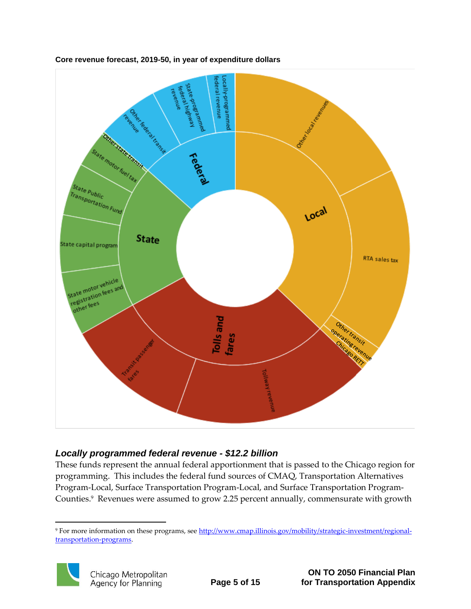

**Core revenue forecast, 2019-50, in year of expenditure dollars**

### *Locally programmed federal revenue - \$12.2 billion*

These funds represent the annual federal apportionment that is passed to the Chicago region for programming. This includes the federal fund sources of CMAQ, Transportation Alternatives Program-Local, Surface Transportation Program-Local, and Surface Transportation Program-Counties.<sup>9</sup> Revenues were assumed to grow 2.25 percent annually, commensurate with growth

<sup>9</sup> For more information on these programs, se[e http://www.cmap.illinois.gov/mobility/strategic-investment/regional](http://www.cmap.illinois.gov/mobility/strategic-investment/regional-transportation-programs)[transportation-programs.](http://www.cmap.illinois.gov/mobility/strategic-investment/regional-transportation-programs)



1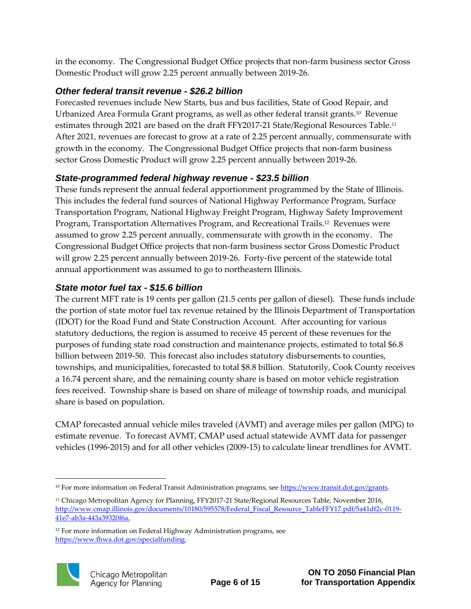in the economy. The Congressional Budget Office projects that non-farm business sector Gross Domestic Product will grow 2.25 percent annually between 2019-26.

### *Other federal transit revenue - \$26.2 billion*

Forecasted revenues include New Starts, bus and bus facilities, State of Good Repair, and Urbanized Area Formula Grant programs, as well as other federal transit grants.<sup>10</sup> Revenue estimates through 2021 are based on the draft FFY2017-21 State/Regional Resources Table.<sup>11</sup> After 2021, revenues are forecast to grow at a rate of 2.25 percent annually, commensurate with growth in the economy. The Congressional Budget Office projects that non-farm business sector Gross Domestic Product will grow 2.25 percent annually between 2019-26.

### *State-programmed federal highway revenue - \$23.5 billion*

These funds represent the annual federal apportionment programmed by the State of Illinois. This includes the federal fund sources of National Highway Performance Program, Surface Transportation Program, National Highway Freight Program, Highway Safety Improvement Program, Transportation Alternatives Program, and Recreational Trails.<sup>12</sup> Revenues were assumed to grow 2.25 percent annually, commensurate with growth in the economy. The Congressional Budget Office projects that non-farm business sector Gross Domestic Product will grow 2.25 percent annually between 2019-26. Forty-five percent of the statewide total annual apportionment was assumed to go to northeastern Illinois.

### *State motor fuel tax - \$15.6 billion*

The current MFT rate is 19 cents per gallon (21.5 cents per gallon of diesel). These funds include the portion of state motor fuel tax revenue retained by the Illinois Department of Transportation (IDOT) for the Road Fund and State Construction Account. After accounting for various statutory deductions, the region is assumed to receive 45 percent of these revenues for the purposes of funding state road construction and maintenance projects, estimated to total \$6.8 billion between 2019-50. This forecast also includes statutory disbursements to counties, townships, and municipalities, forecasted to total \$8.8 billion. Statutorily, Cook County receives a 16.74 percent share, and the remaining county share is based on motor vehicle registration fees received. Township share is based on share of mileage of township roads, and municipal share is based on population.

CMAP forecasted annual vehicle miles traveled (AVMT) and average miles per gallon (MPG) to estimate revenue. To forecast AVMT, CMAP used actual statewide AVMT data for passenger vehicles (1996-2015) and for all other vehicles (2009-15) to calculate linear trendlines for AVMT.

<sup>&</sup>lt;sup>12</sup> For more information on Federal Highway Administration programs, see [https://www.fhwa.dot.gov/specialfunding.](https://www.fhwa.dot.gov/specialfunding) 



1

<sup>&</sup>lt;sup>10</sup> For more information on Federal Transit Administration programs, se[e https://www.transit.dot.gov/grants.](https://www.transit.dot.gov/grants)

<sup>&</sup>lt;sup>11</sup> Chicago Metropolitan Agency for Planning, FFY2017-21 State/Regional Resources Table, November 2016, [http://www.cmap.illinois.gov/documents/10180/595578/Federal\\_Fiscal\\_Resource\\_TableFFY17.pdf/5a41df2c-0119-](http://www.cmap.illinois.gov/documents/10180/595578/Federal_Fiscal_Resource_TableFFY17.pdf/5a41df2c-0119-41e7-ab3a-443a39320f6a) [41e7-ab3a-443a39320f6a.](http://www.cmap.illinois.gov/documents/10180/595578/Federal_Fiscal_Resource_TableFFY17.pdf/5a41df2c-0119-41e7-ab3a-443a39320f6a)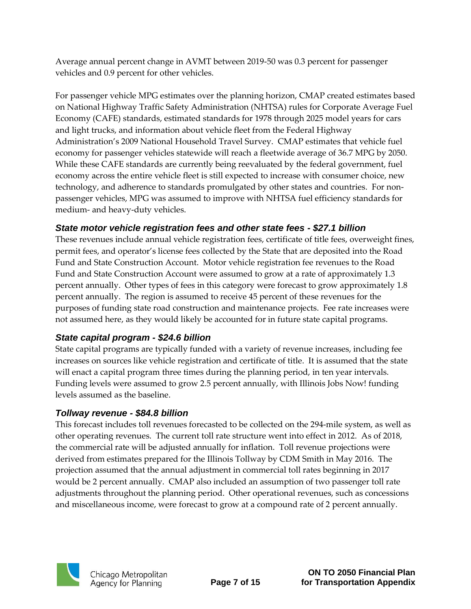Average annual percent change in AVMT between 2019-50 was 0.3 percent for passenger vehicles and 0.9 percent for other vehicles.

For passenger vehicle MPG estimates over the planning horizon, CMAP created estimates based on National Highway Traffic Safety Administration (NHTSA) rules for Corporate Average Fuel Economy (CAFE) standards, estimated standards for 1978 through 2025 model years for cars and light trucks, and information about vehicle fleet from the Federal Highway Administration's 2009 National Household Travel Survey. CMAP estimates that vehicle fuel economy for passenger vehicles statewide will reach a fleetwide average of 36.7 MPG by 2050. While these CAFE standards are currently being reevaluated by the federal government, fuel economy across the entire vehicle fleet is still expected to increase with consumer choice, new technology, and adherence to standards promulgated by other states and countries. For nonpassenger vehicles, MPG was assumed to improve with NHTSA fuel efficiency standards for medium- and heavy-duty vehicles.

#### *State motor vehicle registration fees and other state fees - \$27.1 billion*

These revenues include annual vehicle registration fees, certificate of title fees, overweight fines, permit fees, and operator's license fees collected by the State that are deposited into the Road Fund and State Construction Account. Motor vehicle registration fee revenues to the Road Fund and State Construction Account were assumed to grow at a rate of approximately 1.3 percent annually. Other types of fees in this category were forecast to grow approximately 1.8 percent annually. The region is assumed to receive 45 percent of these revenues for the purposes of funding state road construction and maintenance projects. Fee rate increases were not assumed here, as they would likely be accounted for in future state capital programs.

### *State capital program - \$24.6 billion*

State capital programs are typically funded with a variety of revenue increases, including fee increases on sources like vehicle registration and certificate of title. It is assumed that the state will enact a capital program three times during the planning period, in ten year intervals. Funding levels were assumed to grow 2.5 percent annually, with Illinois Jobs Now! funding levels assumed as the baseline.

### *Tollway revenue - \$84.8 billion*

This forecast includes toll revenues forecasted to be collected on the 294-mile system, as well as other operating revenues. The current toll rate structure went into effect in 2012. As of 2018, the commercial rate will be adjusted annually for inflation. Toll revenue projections were derived from estimates prepared for the Illinois Tollway by CDM Smith in May 2016. The projection assumed that the annual adjustment in commercial toll rates beginning in 2017 would be 2 percent annually. CMAP also included an assumption of two passenger toll rate adjustments throughout the planning period. Other operational revenues, such as concessions and miscellaneous income, were forecast to grow at a compound rate of 2 percent annually.

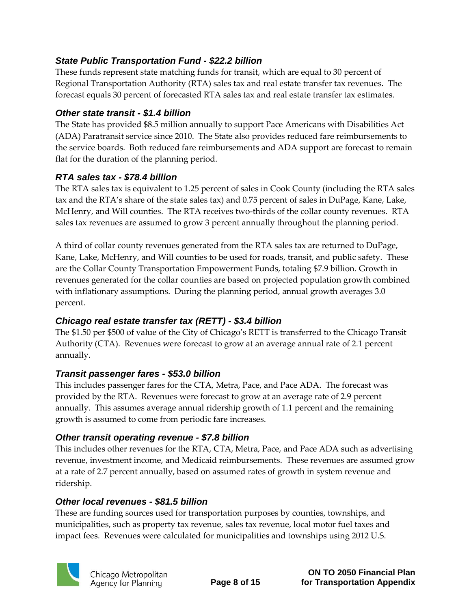### *State Public Transportation Fund - \$22.2 billion*

These funds represent state matching funds for transit, which are equal to 30 percent of Regional Transportation Authority (RTA) sales tax and real estate transfer tax revenues. The forecast equals 30 percent of forecasted RTA sales tax and real estate transfer tax estimates.

#### *Other state transit - \$1.4 billion*

The State has provided \$8.5 million annually to support Pace Americans with Disabilities Act (ADA) Paratransit service since 2010. The State also provides reduced fare reimbursements to the service boards. Both reduced fare reimbursements and ADA support are forecast to remain flat for the duration of the planning period.

### *RTA sales tax - \$78.4 billion*

The RTA sales tax is equivalent to 1.25 percent of sales in Cook County (including the RTA sales tax and the RTA's share of the state sales tax) and 0.75 percent of sales in DuPage, Kane, Lake, McHenry, and Will counties. The RTA receives two-thirds of the collar county revenues. RTA sales tax revenues are assumed to grow 3 percent annually throughout the planning period.

A third of collar county revenues generated from the RTA sales tax are returned to DuPage, Kane, Lake, McHenry, and Will counties to be used for roads, transit, and public safety. These are the Collar County Transportation Empowerment Funds, totaling \$7.9 billion. Growth in revenues generated for the collar counties are based on projected population growth combined with inflationary assumptions. During the planning period, annual growth averages 3.0 percent.

### *Chicago real estate transfer tax (RETT) - \$3.4 billion*

The \$1.50 per \$500 of value of the City of Chicago's RETT is transferred to the Chicago Transit Authority (CTA). Revenues were forecast to grow at an average annual rate of 2.1 percent annually.

### *Transit passenger fares - \$53.0 billion*

This includes passenger fares for the CTA, Metra, Pace, and Pace ADA. The forecast was provided by the RTA. Revenues were forecast to grow at an average rate of 2.9 percent annually. This assumes average annual ridership growth of 1.1 percent and the remaining growth is assumed to come from periodic fare increases.

### *Other transit operating revenue - \$7.8 billion*

This includes other revenues for the RTA, CTA, Metra, Pace, and Pace ADA such as advertising revenue, investment income, and Medicaid reimbursements. These revenues are assumed grow at a rate of 2.7 percent annually, based on assumed rates of growth in system revenue and ridership.

### *Other local revenues - \$81.5 billion*

These are funding sources used for transportation purposes by counties, townships, and municipalities, such as property tax revenue, sales tax revenue, local motor fuel taxes and impact fees. Revenues were calculated for municipalities and townships using 2012 U.S.

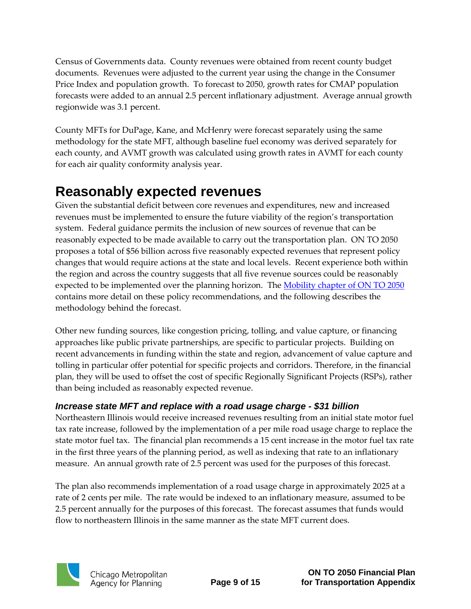Census of Governments data. County revenues were obtained from recent county budget documents. Revenues were adjusted to the current year using the change in the Consumer Price Index and population growth. To forecast to 2050, growth rates for CMAP population forecasts were added to an annual 2.5 percent inflationary adjustment. Average annual growth regionwide was 3.1 percent.

County MFTs for DuPage, Kane, and McHenry were forecast separately using the same methodology for the state MFT, although baseline fuel economy was derived separately for each county, and AVMT growth was calculated using growth rates in AVMT for each county for each air quality conformity analysis year.

### <span id="page-10-0"></span>**Reasonably expected revenues**

Given the substantial deficit between core revenues and expenditures, new and increased revenues must be implemented to ensure the future viability of the region's transportation system. Federal guidance permits the inclusion of new sources of revenue that can be reasonably expected to be made available to carry out the transportation plan. ON TO 2050 proposes a total of \$56 billion across five reasonably expected revenues that represent policy changes that would require actions at the state and local levels. Recent experience both within the region and across the country suggests that all five revenue sources could be reasonably expected to be implemented over the planning horizon. The [Mobility chapter of ON TO 2050](https://www.cmap.illinois.gov/2050/draft/mobility) contains more detail on these policy recommendations, and the following describes the methodology behind the forecast.

Other new funding sources, like congestion pricing, tolling, and value capture, or financing approaches like public private partnerships, are specific to particular projects. Building on recent advancements in funding within the state and region, advancement of value capture and tolling in particular offer potential for specific projects and corridors. Therefore, in the financial plan, they will be used to offset the cost of specific Regionally Significant Projects (RSPs), rather than being included as reasonably expected revenue.

### *Increase state MFT and replace with a road usage charge - \$31 billion*

Northeastern Illinois would receive increased revenues resulting from an initial state motor fuel tax rate increase, followed by the implementation of a per mile road usage charge to replace the state motor fuel tax. The financial plan recommends a 15 cent increase in the motor fuel tax rate in the first three years of the planning period, as well as indexing that rate to an inflationary measure. An annual growth rate of 2.5 percent was used for the purposes of this forecast.

The plan also recommends implementation of a road usage charge in approximately 2025 at a rate of 2 cents per mile. The rate would be indexed to an inflationary measure, assumed to be 2.5 percent annually for the purposes of this forecast. The forecast assumes that funds would flow to northeastern Illinois in the same manner as the state MFT current does.

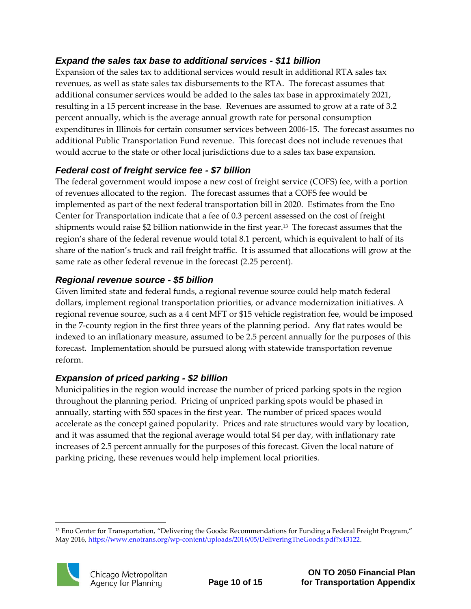### *Expand the sales tax base to additional services - \$11 billion*

Expansion of the sales tax to additional services would result in additional RTA sales tax revenues, as well as state sales tax disbursements to the RTA. The forecast assumes that additional consumer services would be added to the sales tax base in approximately 2021, resulting in a 15 percent increase in the base. Revenues are assumed to grow at a rate of 3.2 percent annually, which is the average annual growth rate for personal consumption expenditures in Illinois for certain consumer services between 2006-15. The forecast assumes no additional Public Transportation Fund revenue. This forecast does not include revenues that would accrue to the state or other local jurisdictions due to a sales tax base expansion.

### *Federal cost of freight service fee - \$7 billion*

The federal government would impose a new cost of freight service (COFS) fee, with a portion of revenues allocated to the region. The forecast assumes that a COFS fee would be implemented as part of the next federal transportation bill in 2020. Estimates from the Eno Center for Transportation indicate that a fee of 0.3 percent assessed on the cost of freight shipments would raise \$2 billion nationwide in the first year. 13 The forecast assumes that the region's share of the federal revenue would total 8.1 percent, which is equivalent to half of its share of the nation's truck and rail freight traffic. It is assumed that allocations will grow at the same rate as other federal revenue in the forecast (2.25 percent).

### *Regional revenue source - \$5 billion*

Given limited state and federal funds, a regional revenue source could help match federal dollars, implement regional transportation priorities, or advance modernization initiatives. A regional revenue source, such as a 4 cent MFT or \$15 vehicle registration fee, would be imposed in the 7-county region in the first three years of the planning period. Any flat rates would be indexed to an inflationary measure, assumed to be 2.5 percent annually for the purposes of this forecast. Implementation should be pursued along with statewide transportation revenue reform.

### *Expansion of priced parking - \$2 billion*

Municipalities in the region would increase the number of priced parking spots in the region throughout the planning period. Pricing of unpriced parking spots would be phased in annually, starting with 550 spaces in the first year. The number of priced spaces would accelerate as the concept gained popularity. Prices and rate structures would vary by location, and it was assumed that the regional average would total \$4 per day, with inflationary rate increases of 2.5 percent annually for the purposes of this forecast. Given the local nature of parking pricing, these revenues would help implement local priorities.

<sup>&</sup>lt;sup>13</sup> Eno Center for Transportation, "Delivering the Goods: Recommendations for Funding a Federal Freight Program," May 2016, [https://www.enotrans.org/wp-content/uploads/2016/05/DeliveringTheGoods.pdf?x43122.](https://www.enotrans.org/wp-content/uploads/2016/05/DeliveringTheGoods.pdf?x43122)



1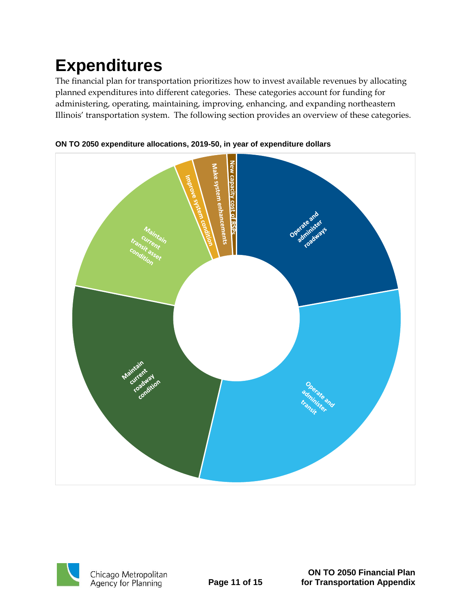## <span id="page-12-0"></span>**Expenditures**

The financial plan for transportation prioritizes how to invest available revenues by allocating planned expenditures into different categories. These categories account for funding for administering, operating, maintaining, improving, enhancing, and expanding northeastern Illinois' transportation system. The following section provides an overview of these categories.



**ON TO 2050 expenditure allocations, 2019-50, in year of expenditure dollars**



Chicago Metropolitan<br>Agency for Planning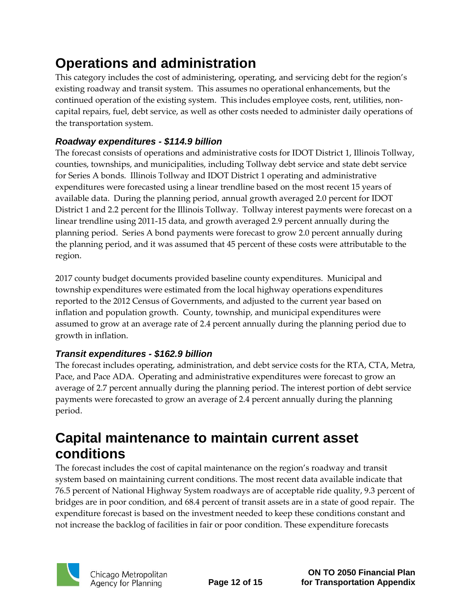### <span id="page-13-0"></span>**Operations and administration**

This category includes the cost of administering, operating, and servicing debt for the region's existing roadway and transit system. This assumes no operational enhancements, but the continued operation of the existing system. This includes employee costs, rent, utilities, noncapital repairs, fuel, debt service, as well as other costs needed to administer daily operations of the transportation system.

### *Roadway expenditures - \$114.9 billion*

The forecast consists of operations and administrative costs for IDOT District 1, Illinois Tollway, counties, townships, and municipalities, including Tollway debt service and state debt service for Series A bonds. Illinois Tollway and IDOT District 1 operating and administrative expenditures were forecasted using a linear trendline based on the most recent 15 years of available data. During the planning period, annual growth averaged 2.0 percent for IDOT District 1 and 2.2 percent for the Illinois Tollway. Tollway interest payments were forecast on a linear trendline using 2011-15 data, and growth averaged 2.9 percent annually during the planning period. Series A bond payments were forecast to grow 2.0 percent annually during the planning period, and it was assumed that 45 percent of these costs were attributable to the region.

2017 county budget documents provided baseline county expenditures. Municipal and township expenditures were estimated from the local highway operations expenditures reported to the 2012 Census of Governments, and adjusted to the current year based on inflation and population growth. County, township, and municipal expenditures were assumed to grow at an average rate of 2.4 percent annually during the planning period due to growth in inflation.

### *Transit expenditures - \$162.9 billion*

The forecast includes operating, administration, and debt service costs for the RTA, CTA, Metra, Pace, and Pace ADA. Operating and administrative expenditures were forecast to grow an average of 2.7 percent annually during the planning period. The interest portion of debt service payments were forecasted to grow an average of 2.4 percent annually during the planning period.

### <span id="page-13-1"></span>**Capital maintenance to maintain current asset conditions**

The forecast includes the cost of capital maintenance on the region's roadway and transit system based on maintaining current conditions. The most recent data available indicate that 76.5 percent of National Highway System roadways are of acceptable ride quality, 9.3 percent of bridges are in poor condition, and 68.4 percent of transit assets are in a state of good repair. The expenditure forecast is based on the investment needed to keep these conditions constant and not increase the backlog of facilities in fair or poor condition. These expenditure forecasts

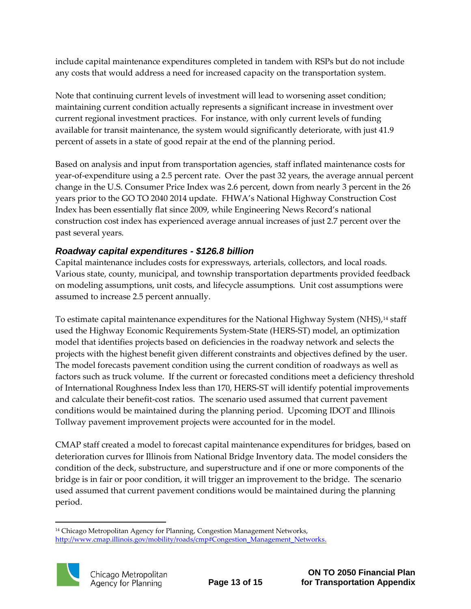include capital maintenance expenditures completed in tandem with RSPs but do not include any costs that would address a need for increased capacity on the transportation system.

Note that continuing current levels of investment will lead to worsening asset condition; maintaining current condition actually represents a significant increase in investment over current regional investment practices. For instance, with only current levels of funding available for transit maintenance, the system would significantly deteriorate, with just 41.9 percent of assets in a state of good repair at the end of the planning period.

Based on analysis and input from transportation agencies, staff inflated maintenance costs for year-of-expenditure using a 2.5 percent rate. Over the past 32 years, the average annual percent change in the U.S. Consumer Price Index was 2.6 percent, down from nearly 3 percent in the 26 years prior to the GO TO 2040 2014 update. FHWA's National Highway Construction Cost Index has been essentially flat since 2009, while Engineering News Record's national construction cost index has experienced average annual increases of just 2.7 percent over the past several years.

### *Roadway capital expenditures - \$126.8 billion*

Capital maintenance includes costs for expressways, arterials, collectors, and local roads. Various state, county, municipal, and township transportation departments provided feedback on modeling assumptions, unit costs, and lifecycle assumptions. Unit cost assumptions were assumed to increase 2.5 percent annually.

To estimate capital maintenance expenditures for the National Highway System (NHS),<sup>14</sup> staff used the Highway Economic Requirements System-State (HERS-ST) model, an optimization model that identifies projects based on deficiencies in the roadway network and selects the projects with the highest benefit given different constraints and objectives defined by the user. The model forecasts pavement condition using the current condition of roadways as well as factors such as truck volume. If the current or forecasted conditions meet a deficiency threshold of International Roughness Index less than 170, HERS-ST will identify potential improvements and calculate their benefit-cost ratios. The scenario used assumed that current pavement conditions would be maintained during the planning period. Upcoming IDOT and Illinois Tollway pavement improvement projects were accounted for in the model.

CMAP staff created a model to forecast capital maintenance expenditures for bridges, based on deterioration curves for Illinois from National Bridge Inventory data. The model considers the condition of the deck, substructure, and superstructure and if one or more components of the bridge is in fair or poor condition, it will trigger an improvement to the bridge. The scenario used assumed that current pavement conditions would be maintained during the planning period.

<sup>1</sup> <sup>14</sup> Chicago Metropolitan Agency for Planning, Congestion Management Networks, http://www.cmap.illinois.gov/mobility/roads/cmp#Congestion\_Management\_Networks.

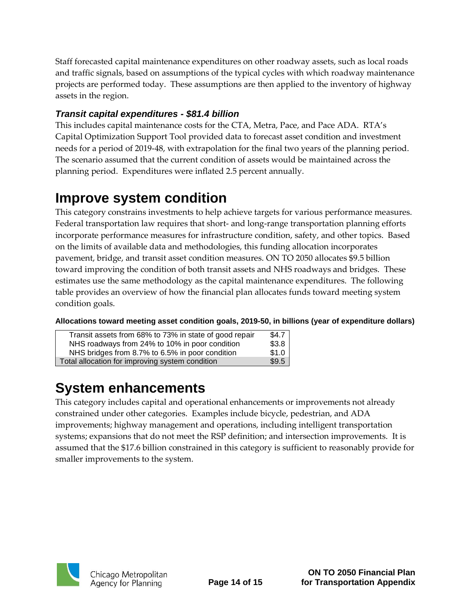Staff forecasted capital maintenance expenditures on other roadway assets, such as local roads and traffic signals, based on assumptions of the typical cycles with which roadway maintenance projects are performed today. These assumptions are then applied to the inventory of highway assets in the region.

### *Transit capital expenditures - \$81.4 billion*

This includes capital maintenance costs for the CTA, Metra, Pace, and Pace ADA. RTA's Capital Optimization Support Tool provided data to forecast asset condition and investment needs for a period of 2019-48, with extrapolation for the final two years of the planning period. The scenario assumed that the current condition of assets would be maintained across the planning period. Expenditures were inflated 2.5 percent annually.

### <span id="page-15-0"></span>**Improve system condition**

This category constrains investments to help achieve targets for various performance measures. Federal transportation law requires that short- and long-range transportation planning efforts incorporate performance measures for infrastructure condition, safety, and other topics. Based on the limits of available data and methodologies, this funding allocation incorporates pavement, bridge, and transit asset condition measures. ON TO 2050 allocates \$9.5 billion toward improving the condition of both transit assets and NHS roadways and bridges. These estimates use the same methodology as the capital maintenance expenditures. The following table provides an overview of how the financial plan allocates funds toward meeting system condition goals.

**Allocations toward meeting asset condition goals, 2019-50, in billions (year of expenditure dollars)**

| Transit assets from 68% to 73% in state of good repair | \$4.7 |
|--------------------------------------------------------|-------|
| NHS roadways from 24% to 10% in poor condition         | \$3.8 |
| NHS bridges from 8.7% to 6.5% in poor condition        | \$1.0 |
| Total allocation for improving system condition        | \$9.5 |

### <span id="page-15-1"></span>**System enhancements**

<span id="page-15-2"></span>This category includes capital and operational enhancements or improvements not already constrained under other categories. Examples include bicycle, pedestrian, and ADA improvements; highway management and operations, including intelligent transportation systems; expansions that do not meet the RSP definition; and intersection improvements. It is assumed that the \$17.6 billion constrained in this category is sufficient to reasonably provide for smaller improvements to the system.

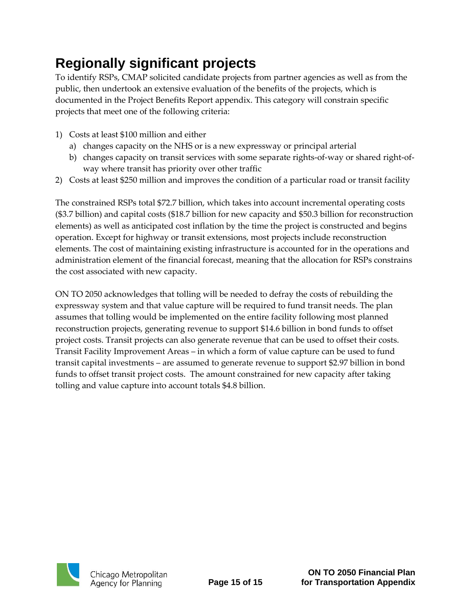## **Regionally significant projects**

To identify RSPs, CMAP solicited candidate projects from partner agencies as well as from the public, then undertook an extensive evaluation of the benefits of the projects, which is documented in the Project Benefits Report appendix. This category will constrain specific projects that meet one of the following criteria:

- 1) Costs at least \$100 million and either
	- a) changes capacity on the NHS or is a new expressway or principal arterial
	- b) changes capacity on transit services with some separate rights-of-way or shared right-ofway where transit has priority over other traffic
- 2) Costs at least \$250 million and improves the condition of a particular road or transit facility

The constrained RSPs total \$72.7 billion, which takes into account incremental operating costs (\$3.7 billion) and capital costs (\$18.7 billion for new capacity and \$50.3 billion for reconstruction elements) as well as anticipated cost inflation by the time the project is constructed and begins operation. Except for highway or transit extensions, most projects include reconstruction elements. The cost of maintaining existing infrastructure is accounted for in the operations and administration element of the financial forecast, meaning that the allocation for RSPs constrains the cost associated with new capacity.

ON TO 2050 acknowledges that tolling will be needed to defray the costs of rebuilding the expressway system and that value capture will be required to fund transit needs. The plan assumes that tolling would be implemented on the entire facility following most planned reconstruction projects, generating revenue to support \$14.6 billion in bond funds to offset project costs. Transit projects can also generate revenue that can be used to offset their costs. Transit Facility Improvement Areas – in which a form of value capture can be used to fund transit capital investments – are assumed to generate revenue to support \$2.97 billion in bond funds to offset transit project costs. The amount constrained for new capacity after taking tolling and value capture into account totals \$4.8 billion.